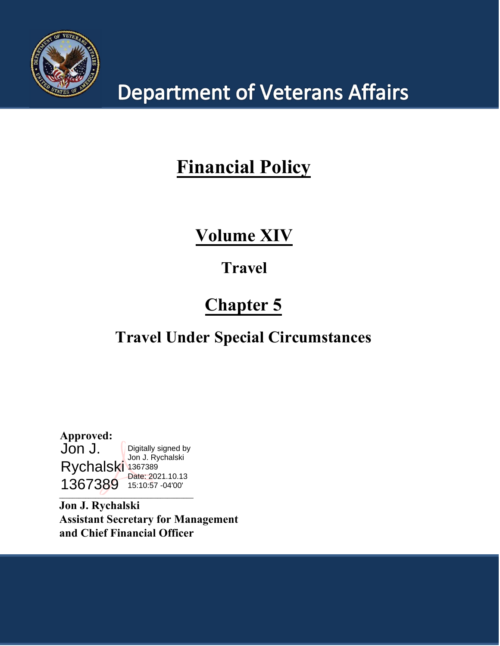

# **Department of Veterans Affairs**

## **Financial Policy**

## **Volume XIV**

## **Travel**

# **Chapter 5**

## **Travel Under Special Circumstances**

**Approved:** Jon J. Rychalski 1367389 1367389 15:10:57 -04'00'Digitally signed by Jon J. Rychalski Date: 2021.10.13

**\_\_\_\_\_\_\_\_\_\_\_\_\_\_\_\_\_\_\_\_\_\_\_\_\_\_\_\_\_\_\_\_\_\_\_\_\_\_\_\_\_**

**Jon J. Rychalski Assistant Secretary for Management and Chief Financial Officer**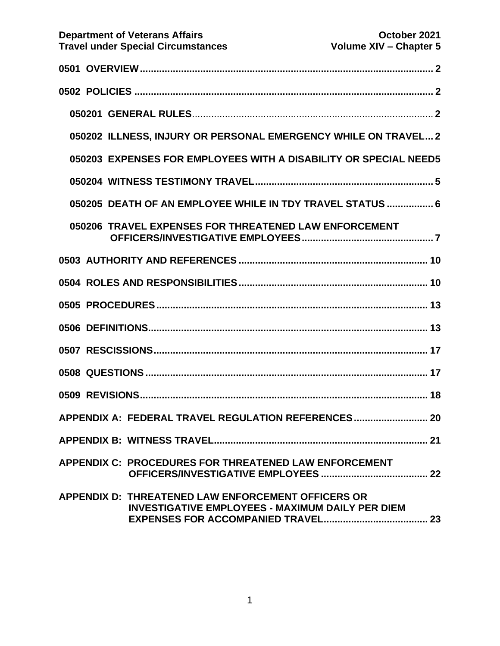|  | 050202 ILLNESS, INJURY OR PERSONAL EMERGENCY WHILE ON TRAVEL 2                                                       |
|--|----------------------------------------------------------------------------------------------------------------------|
|  | 050203 EXPENSES FOR EMPLOYEES WITH A DISABILITY OR SPECIAL NEED5                                                     |
|  |                                                                                                                      |
|  | 050205 DEATH OF AN EMPLOYEE WHILE IN TDY TRAVEL STATUS  6                                                            |
|  | 050206 TRAVEL EXPENSES FOR THREATENED LAW ENFORCEMENT                                                                |
|  |                                                                                                                      |
|  |                                                                                                                      |
|  |                                                                                                                      |
|  |                                                                                                                      |
|  |                                                                                                                      |
|  |                                                                                                                      |
|  |                                                                                                                      |
|  | APPENDIX A: FEDERAL TRAVEL REGULATION REFERENCES 20                                                                  |
|  |                                                                                                                      |
|  | APPENDIX C: PROCEDURES FOR THREATENED LAW ENFORCEMENT                                                                |
|  | <b>APPENDIX D: THREATENED LAW ENFORCEMENT OFFICERS OR</b><br><b>INVESTIGATIVE EMPLOYEES - MAXIMUM DAILY PER DIEM</b> |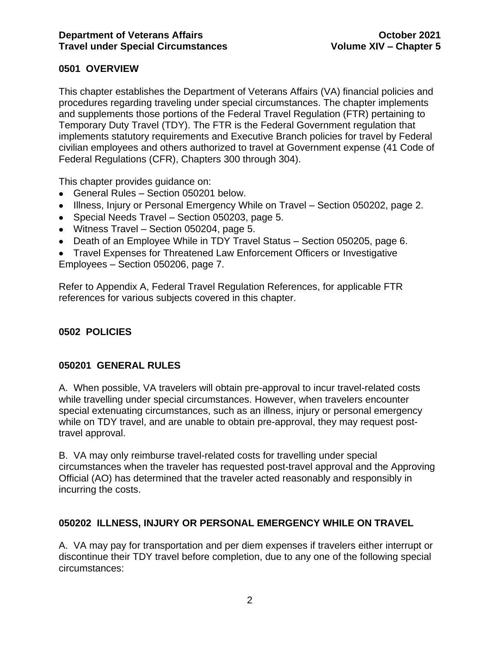## <span id="page-2-0"></span>**0501 OVERVIEW**

This chapter establishes the Department of Veterans Affairs (VA) financial policies and procedures regarding traveling under special circumstances. The chapter implements and supplements those portions of the Federal Travel Regulation (FTR) pertaining to Temporary Duty Travel (TDY). The FTR is the Federal Government regulation that implements statutory requirements and Executive Branch policies for travel by Federal civilian employees and others authorized to travel at Government expense (41 Code of Federal Regulations (CFR), Chapters 300 through 304).

This chapter provides guidance on:

- General Rules Section 050201 below.
- Illness, Injury or Personal Emergency While on Travel Section 050202, page 2.
- Special Needs Travel Section 050203, page 5.
- Witness Travel Section 050204, page 5.
- Death of an Employee While in TDY Travel Status Section 050205, page 6.

• Travel Expenses for Threatened Law Enforcement Officers or Investigative Employees – Section 050206, page 7.

Refer to Appendix A, Federal Travel Regulation References, for applicable FTR references for various subjects covered in this chapter.

## <span id="page-2-1"></span>**0502 POLICIES**

### <span id="page-2-2"></span>**050201 GENERAL RULES**

A. When possible, VA travelers will obtain pre-approval to incur travel-related costs while travelling under special circumstances. However, when travelers encounter special extenuating circumstances, such as an illness, injury or personal emergency while on TDY travel, and are unable to obtain pre-approval, they may request posttravel approval.

B. VA may only reimburse travel-related costs for travelling under special circumstances when the traveler has requested post-travel approval and the Approving Official (AO) has determined that the traveler acted reasonably and responsibly in incurring the costs.

### <span id="page-2-3"></span>**050202 ILLNESS, INJURY OR PERSONAL EMERGENCY WHILE ON TRAVEL**

A. VA may pay for transportation and per diem expenses if travelers either interrupt or discontinue their TDY travel before completion, due to any one of the following special circumstances: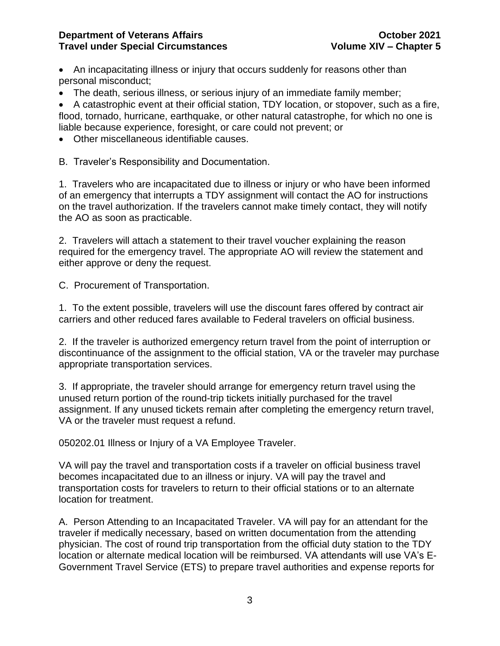• An incapacitating illness or injury that occurs suddenly for reasons other than personal misconduct;

• The death, serious illness, or serious injury of an immediate family member;

• A catastrophic event at their official station, TDY location, or stopover, such as a fire, flood, tornado, hurricane, earthquake, or other natural catastrophe, for which no one is liable because experience, foresight, or care could not prevent; or

• Other miscellaneous identifiable causes.

B. Traveler's Responsibility and Documentation.

1. Travelers who are incapacitated due to illness or injury or who have been informed of an emergency that interrupts a TDY assignment will contact the AO for instructions on the travel authorization. If the travelers cannot make timely contact, they will notify the AO as soon as practicable.

2. Travelers will attach a statement to their travel voucher explaining the reason required for the emergency travel. The appropriate AO will review the statement and either approve or deny the request.

C. Procurement of Transportation.

1. To the extent possible, travelers will use the discount fares offered by contract air carriers and other reduced fares available to Federal travelers on official business.

2. If the traveler is authorized emergency return travel from the point of interruption or discontinuance of the assignment to the official station, VA or the traveler may purchase appropriate transportation services.

3. If appropriate, the traveler should arrange for emergency return travel using the unused return portion of the round-trip tickets initially purchased for the travel assignment. If any unused tickets remain after completing the emergency return travel, VA or the traveler must request a refund.

050202.01 Illness or Injury of a VA Employee Traveler.

VA will pay the travel and transportation costs if a traveler on official business travel becomes incapacitated due to an illness or injury. VA will pay the travel and transportation costs for travelers to return to their official stations or to an alternate location for treatment.

A. Person Attending to an Incapacitated Traveler. VA will pay for an attendant for the traveler if medically necessary, based on written documentation from the attending physician. The cost of round trip transportation from the official duty station to the TDY location or alternate medical location will be reimbursed. VA attendants will use VA's E-Government Travel Service (ETS) to prepare travel authorities and expense reports for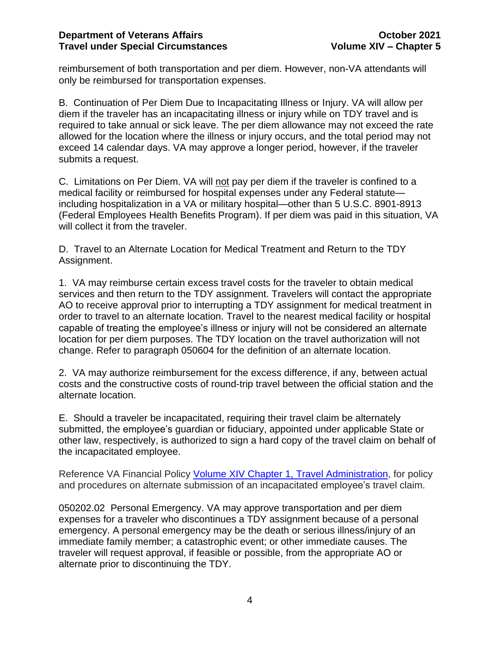reimbursement of both transportation and per diem. However, non-VA attendants will only be reimbursed for transportation expenses.

B. Continuation of Per Diem Due to Incapacitating Illness or Injury. VA will allow per diem if the traveler has an incapacitating illness or injury while on TDY travel and is required to take annual or sick leave. The per diem allowance may not exceed the rate allowed for the location where the illness or injury occurs, and the total period may not exceed 14 calendar days. VA may approve a longer period, however, if the traveler submits a request.

C. Limitations on Per Diem. VA will not pay per diem if the traveler is confined to a medical facility or reimbursed for hospital expenses under any Federal statute including hospitalization in a VA or military hospital—other than 5 U.S.C. 8901-8913 (Federal Employees Health Benefits Program). If per diem was paid in this situation, VA will collect it from the traveler.

D. Travel to an Alternate Location for Medical Treatment and Return to the TDY Assignment.

1. VA may reimburse certain excess travel costs for the traveler to obtain medical services and then return to the TDY assignment. Travelers will contact the appropriate AO to receive approval prior to interrupting a TDY assignment for medical treatment in order to travel to an alternate location. Travel to the nearest medical facility or hospital capable of treating the employee's illness or injury will not be considered an alternate location for per diem purposes. The TDY location on the travel authorization will not change. Refer to paragraph 050604 for the definition of an alternate location.

2. VA may authorize reimbursement for the excess difference, if any, between actual costs and the constructive costs of round-trip travel between the official station and the alternate location.

E. Should a traveler be incapacitated, requiring their travel claim be alternately submitted, the employee's guardian or fiduciary, appointed under applicable State or other law, respectively, is authorized to sign a hard copy of the travel claim on behalf of the incapacitated employee.

Reference VA Financial Policy [Volume XIV Chapter 1, Travel Administration,](https://www.va.gov/finance/docs/VA-FinancialPolicyVolumeXIVChapter01.pdf) for policy and procedures on alternate submission of an incapacitated employee's travel claim.

050202.02 Personal Emergency. VA may approve transportation and per diem expenses for a traveler who discontinues a TDY assignment because of a personal emergency. A personal emergency may be the death or serious illness/injury of an immediate family member; a catastrophic event; or other immediate causes. The traveler will request approval, if feasible or possible, from the appropriate AO or alternate prior to discontinuing the TDY.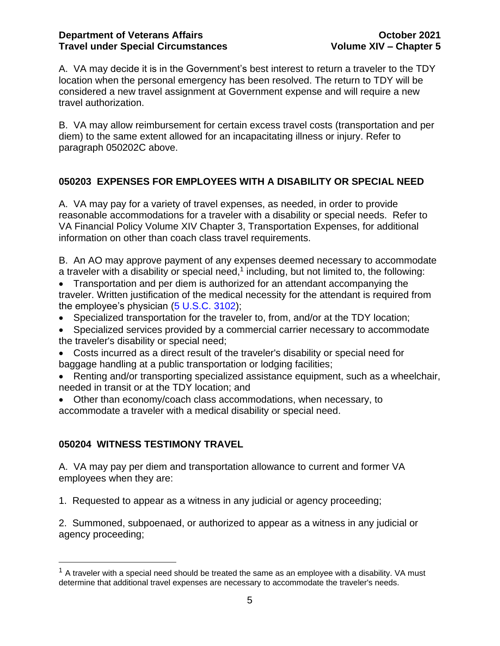A. VA may decide it is in the Government's best interest to return a traveler to the TDY location when the personal emergency has been resolved. The return to TDY will be considered a new travel assignment at Government expense and will require a new travel authorization.

B. VA may allow reimbursement for certain excess travel costs (transportation and per diem) to the same extent allowed for an incapacitating illness or injury. Refer to paragraph 050202C above.

## <span id="page-5-0"></span>**050203 EXPENSES FOR EMPLOYEES WITH A DISABILITY OR SPECIAL NEED**

A. VA may pay for a variety of travel expenses, as needed, in order to provide reasonable accommodations for a traveler with a disability or special needs. Refer to VA Financial Policy Volume XIV Chapter 3, Transportation Expenses, for additional information on other than coach class travel requirements.

B. An AO may approve payment of any expenses deemed necessary to accommodate a traveler with a disability or special need,<sup>1</sup> including, but not limited to, the following:

• Transportation and per diem is authorized for an attendant accompanying the traveler. Written justification of the medical necessity for the attendant is required from the employee's physician  $(5 \text{ U.S.C. } 3102)$ ;

- Specialized transportation for the traveler to, from, and/or at the TDY location;
- Specialized services provided by a commercial carrier necessary to accommodate the traveler's disability or special need;
- Costs incurred as a direct result of the traveler's disability or special need for baggage handling at a public transportation or lodging facilities;
- Renting and/or transporting specialized assistance equipment, such as a wheelchair, needed in transit or at the TDY location; and
- Other than economy/coach class accommodations, when necessary, to accommodate a traveler with a medical disability or special need.

## <span id="page-5-1"></span>**050204 WITNESS TESTIMONY TRAVEL**

A. VA may pay per diem and transportation allowance to current and former VA employees when they are:

1. Requested to appear as a witness in any judicial or agency proceeding;

2. Summoned, subpoenaed, or authorized to appear as a witness in any judicial or agency proceeding;

 $1$  A traveler with a special need should be treated the same as an employee with a disability. VA must determine that additional travel expenses are necessary to accommodate the traveler's needs.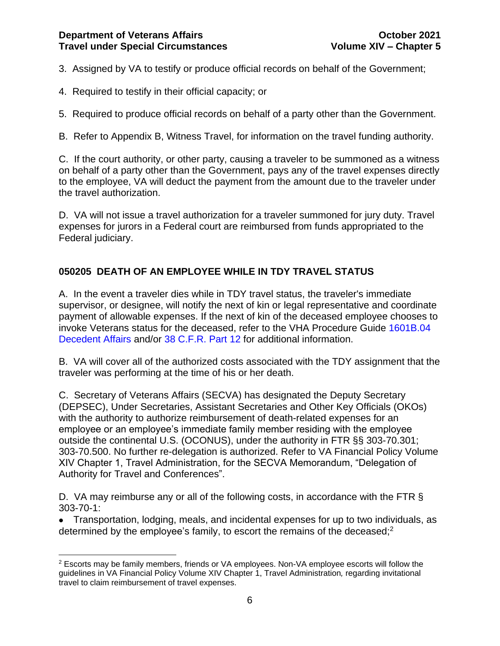3. Assigned by VA to testify or produce official records on behalf of the Government;

- 4. Required to testify in their official capacity; or
- 5. Required to produce official records on behalf of a party other than the Government.

B. Refer to Appendix B, Witness Travel, for information on the travel funding authority.

C. If the court authority, or other party, causing a traveler to be summoned as a witness on behalf of a party other than the Government, pays any of the travel expenses directly to the employee, VA will deduct the payment from the amount due to the traveler under the travel authorization.

D. VA will not issue a travel authorization for a traveler summoned for jury duty. Travel expenses for jurors in a Federal court are reimbursed from funds appropriated to the Federal judiciary.

## <span id="page-6-0"></span>**050205 DEATH OF AN EMPLOYEE WHILE IN TDY TRAVEL STATUS**

A. In the event a traveler dies while in TDY travel status, the traveler's immediate supervisor, or designee, will notify the next of kin or legal representative and coordinate payment of allowable expenses. If the next of kin of the deceased employee chooses to invoke Veterans status for the deceased, refer to the VHA Procedure Guide [1601B.04](http://vaww1.va.gov/CBO/apps/policyguides/index.asp?mode=contents&id=II.04)  [Decedent Affairs](http://vaww1.va.gov/CBO/apps/policyguides/index.asp?mode=contents&id=II.04) and/or [38 C.F.R.](http://ecfr.gpoaccess.gov/cgi/t/text/text-idx?type=simple;c=ecfr;cc=ecfr;sid=9b4427f2a9fe5775907e42aec8ebfe95;idno=38;region=DIV1;q1=death;rgn=div5;view=text;node=38%3A1.0.1.1.14) Part 12 for additional information.

B. VA will cover all of the authorized costs associated with the TDY assignment that the traveler was performing at the time of his or her death.

C. Secretary of Veterans Affairs (SECVA) has designated the Deputy Secretary (DEPSEC), Under Secretaries, Assistant Secretaries and Other Key Officials (OKOs) with the authority to authorize reimbursement of death-related expenses for an employee or an employee's immediate family member residing with the employee outside the continental U.S. (OCONUS), under the authority in FTR §§ 303-70.301; 303-70.500. No further re-delegation is authorized. Refer to VA Financial Policy Volume XIV Chapter 1, Travel Administration, for the SECVA Memorandum, "Delegation of Authority for Travel and Conferences".

D. VA may reimburse any or all of the following costs, in accordance with the FTR § 303-70-1:

• Transportation, lodging, meals, and incidental expenses for up to two individuals, as determined by the employee's family, to escort the remains of the deceased;<sup>2</sup>

<sup>&</sup>lt;sup>2</sup> Escorts may be family members, friends or VA employees. Non-VA employee escorts will follow the guidelines in VA Financial Policy Volume XIV Chapter 1, Travel Administration*,* regarding invitational travel to claim reimbursement of travel expenses.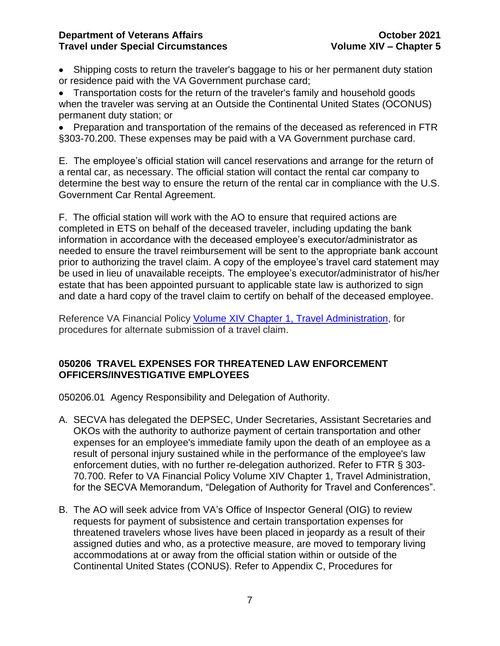• Shipping costs to return the traveler's baggage to his or her permanent duty station or residence paid with the VA Government purchase card;

• Transportation costs for the return of the traveler's family and household goods when the traveler was serving at an Outside the Continental United States (OCONUS) permanent duty station; or

• Preparation and transportation of the remains of the deceased as referenced in FTR §303-70.200. These expenses may be paid with a VA Government purchase card.

E. The employee's official station will cancel reservations and arrange for the return of a rental car, as necessary. The official station will contact the rental car company to determine the best way to ensure the return of the rental car in compliance with the U.S. Government Car Rental Agreement.

F. The official station will work with the AO to ensure that required actions are completed in ETS on behalf of the deceased traveler, including updating the bank information in accordance with the deceased employee's executor/administrator as needed to ensure the travel reimbursement will be sent to the appropriate bank account prior to authorizing the travel claim. A copy of the employee's travel card statement may be used in lieu of unavailable receipts. The employee's executor/administrator of his/her estate that has been appointed pursuant to applicable state law is authorized to sign and date a hard copy of the travel claim to certify on behalf of the deceased employee.

Reference VA Financial Policy [Volume XIV Chapter 1, Travel Administration,](https://www.va.gov/finance/docs/VA-FinancialPolicyVolumeXIVChapter01.pdf) for procedures for alternate submission of a travel claim.

### <span id="page-7-0"></span>**050206 TRAVEL EXPENSES FOR THREATENED LAW ENFORCEMENT OFFICERS/INVESTIGATIVE EMPLOYEES**

050206.01 Agency Responsibility and Delegation of Authority.

- A. SECVA has delegated the DEPSEC, Under Secretaries, Assistant Secretaries and OKOs with the authority to authorize payment of certain transportation and other expenses for an employee's immediate family upon the death of an employee as a result of personal injury sustained while in the performance of the employee's law enforcement duties, with no further re-delegation authorized. Refer to FTR § 303- 70.700. Refer to VA Financial Policy Volume XIV Chapter 1, Travel Administration, for the SECVA Memorandum, "Delegation of Authority for Travel and Conferences".
- B. The AO will seek advice from VA's Office of Inspector General (OIG) to review requests for payment of subsistence and certain transportation expenses for threatened travelers whose lives have been placed in jeopardy as a result of their assigned duties and who, as a protective measure, are moved to temporary living accommodations at or away from the official station within or outside of the Continental United States (CONUS). Refer to Appendix C, Procedures for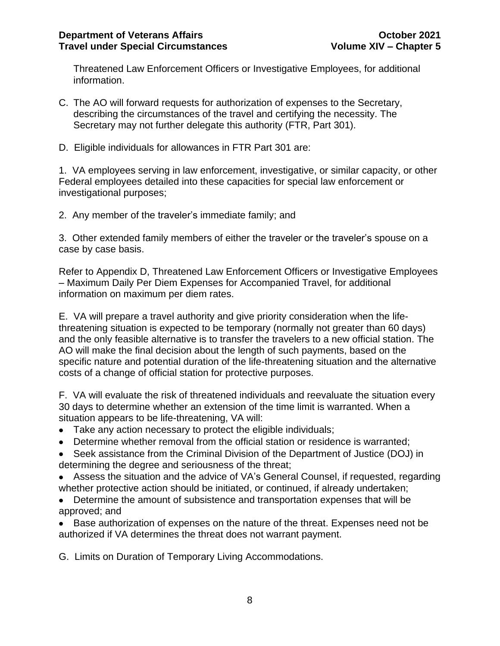Threatened Law Enforcement Officers or Investigative Employees, for additional information.

- C. The AO will forward requests for authorization of expenses to the Secretary, describing the circumstances of the travel and certifying the necessity. The Secretary may not further delegate this authority (FTR, Part 301).
- D. Eligible individuals for allowances in FTR Part 301 are:

1. VA employees serving in law enforcement, investigative, or similar capacity, or other Federal employees detailed into these capacities for special law enforcement or investigational purposes;

2. Any member of the traveler's immediate family; and

3. Other extended family members of either the traveler or the traveler's spouse on a case by case basis.

Refer to Appendix D, Threatened Law Enforcement Officers or Investigative Employees – Maximum Daily Per Diem Expenses for Accompanied Travel, for additional information on maximum per diem rates.

E. VA will prepare a travel authority and give priority consideration when the lifethreatening situation is expected to be temporary (normally not greater than 60 days) and the only feasible alternative is to transfer the travelers to a new official station. The AO will make the final decision about the length of such payments, based on the specific nature and potential duration of the life-threatening situation and the alternative costs of a change of official station for protective purposes.

F. VA will evaluate the risk of threatened individuals and reevaluate the situation every 30 days to determine whether an extension of the time limit is warranted. When a situation appears to be life-threatening, VA will:

- Take any action necessary to protect the eligible individuals;
- Determine whether removal from the official station or residence is warranted;
- Seek assistance from the Criminal Division of the Department of Justice (DOJ) in determining the degree and seriousness of the threat;
- Assess the situation and the advice of VA's General Counsel, if requested, regarding whether protective action should be initiated, or continued, if already undertaken;
- Determine the amount of subsistence and transportation expenses that will be approved; and
- Base authorization of expenses on the nature of the threat. Expenses need not be authorized if VA determines the threat does not warrant payment.

G. Limits on Duration of Temporary Living Accommodations.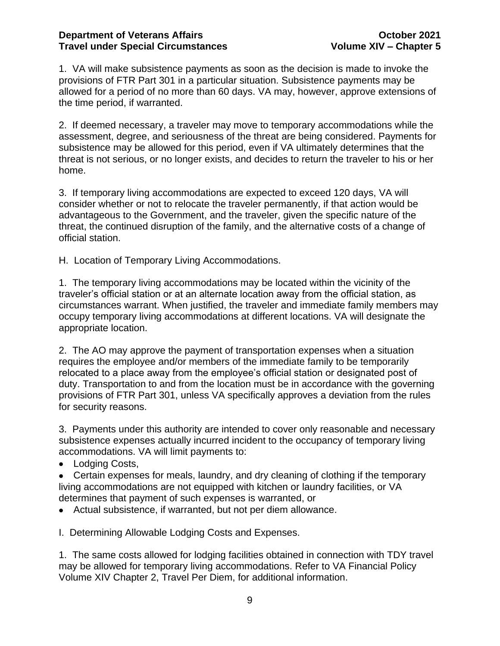1. VA will make subsistence payments as soon as the decision is made to invoke the provisions of FTR Part 301 in a particular situation. Subsistence payments may be allowed for a period of no more than 60 days. VA may, however, approve extensions of the time period, if warranted.

2. If deemed necessary, a traveler may move to temporary accommodations while the assessment, degree, and seriousness of the threat are being considered. Payments for subsistence may be allowed for this period, even if VA ultimately determines that the threat is not serious, or no longer exists, and decides to return the traveler to his or her home.

3. If temporary living accommodations are expected to exceed 120 days, VA will consider whether or not to relocate the traveler permanently, if that action would be advantageous to the Government, and the traveler, given the specific nature of the threat, the continued disruption of the family, and the alternative costs of a change of official station.

H. Location of Temporary Living Accommodations.

1. The temporary living accommodations may be located within the vicinity of the traveler's official station or at an alternate location away from the official station, as circumstances warrant. When justified, the traveler and immediate family members may occupy temporary living accommodations at different locations. VA will designate the appropriate location.

2. The AO may approve the payment of transportation expenses when a situation requires the employee and/or members of the immediate family to be temporarily relocated to a place away from the employee's official station or designated post of duty. Transportation to and from the location must be in accordance with the governing provisions of FTR Part 301, unless VA specifically approves a deviation from the rules for security reasons.

3. Payments under this authority are intended to cover only reasonable and necessary subsistence expenses actually incurred incident to the occupancy of temporary living accommodations. VA will limit payments to:

• Lodging Costs,

• Certain expenses for meals, laundry, and dry cleaning of clothing if the temporary living accommodations are not equipped with kitchen or laundry facilities, or VA determines that payment of such expenses is warranted, or

- Actual subsistence, if warranted, but not per diem allowance.
- I. Determining Allowable Lodging Costs and Expenses.

1. The same costs allowed for lodging facilities obtained in connection with TDY travel may be allowed for temporary living accommodations. Refer to VA Financial Policy Volume XIV Chapter 2, Travel Per Diem, for additional information.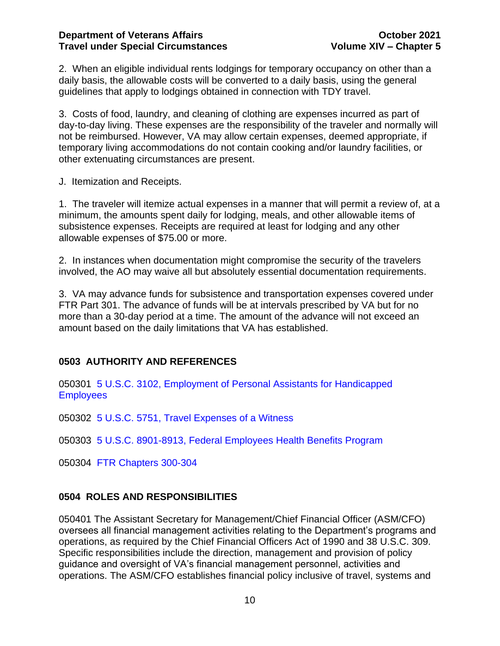2. When an eligible individual rents lodgings for temporary occupancy on other than a daily basis, the allowable costs will be converted to a daily basis, using the general guidelines that apply to lodgings obtained in connection with TDY travel.

3. Costs of food, laundry, and cleaning of clothing are expenses incurred as part of day-to-day living. These expenses are the responsibility of the traveler and normally will not be reimbursed. However, VA may allow certain expenses, deemed appropriate, if temporary living accommodations do not contain cooking and/or laundry facilities, or other extenuating circumstances are present.

J. Itemization and Receipts.

1. The traveler will itemize actual expenses in a manner that will permit a review of, at a minimum, the amounts spent daily for lodging, meals, and other allowable items of subsistence expenses. Receipts are required at least for lodging and any other allowable expenses of \$75.00 or more.

2. In instances when documentation might compromise the security of the travelers involved, the AO may waive all but absolutely essential documentation requirements.

3. VA may advance funds for subsistence and transportation expenses covered under FTR Part 301. The advance of funds will be at intervals prescribed by VA but for no more than a 30-day period at a time. The amount of the advance will not exceed an amount based on the daily limitations that VA has established.

## <span id="page-10-0"></span>**0503 AUTHORITY AND REFERENCES**

050301 5 U.S.C. 3102, [Employment of Personal Assistants for Handicapped](http://frwebgate.access.gpo.gov/cgi-bin/multidb.cgi)  **[Employees](http://frwebgate.access.gpo.gov/cgi-bin/multidb.cgi)** 

050302 5 U.S.C. 5751, [Travel Expenses of a Witness](http://frwebgate3.access.gpo.gov/cgi-bin/PDFgate.cgi?WAISdocID=6BHusv/0/2/0&WAISaction=retrieve)

050303 5 U.S.C. 8901-8913, [Federal Employees Health Benefits Program](http://frwebgate2.access.gpo.gov/cgi-bin/PDFgate.cgi?WAISdocID=2XPJoo/0/2/0&WAISaction=retrieve)

050304 [FTR Chapters 300-304](https://www.ecfr.gov/cgi-bin/text-idx?gp=&SID=904986730b04a8033358f586de32c1f0&mc=true&tpl=/ecfrbrowse/Title41/41subtitleF.tpl)

## <span id="page-10-1"></span>**0504 ROLES AND RESPONSIBILITIES**

050401 The Assistant Secretary for Management/Chief Financial Officer (ASM/CFO) oversees all financial management activities relating to the Department's programs and operations, as required by the Chief Financial Officers Act of 1990 and 38 U.S.C. 309. Specific responsibilities include the direction, management and provision of policy guidance and oversight of VA's financial management personnel, activities and operations. The ASM/CFO establishes financial policy inclusive of travel, systems and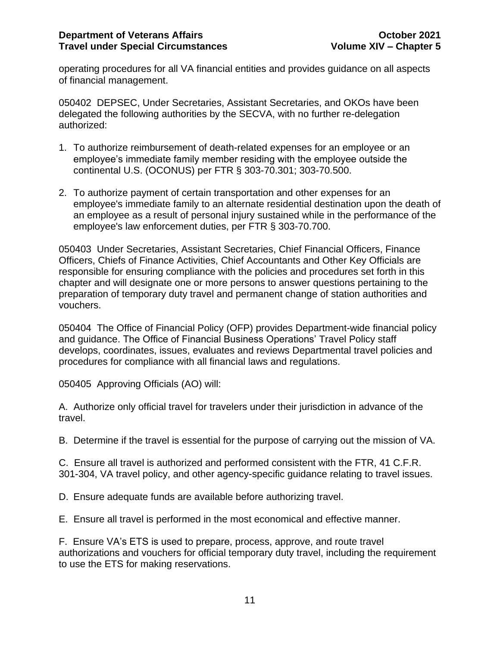operating procedures for all VA financial entities and provides guidance on all aspects of financial management.

050402 DEPSEC, Under Secretaries, Assistant Secretaries, and OKOs have been delegated the following authorities by the SECVA, with no further re-delegation authorized:

- 1. To authorize reimbursement of death-related expenses for an employee or an employee's immediate family member residing with the employee outside the continental U.S. (OCONUS) per FTR § 303-70.301; 303-70.500.
- 2. To authorize payment of certain transportation and other expenses for an employee's immediate family to an alternate residential destination upon the death of an employee as a result of personal injury sustained while in the performance of the employee's law enforcement duties, per FTR § 303-70.700.

050403 Under Secretaries, Assistant Secretaries, Chief Financial Officers, Finance Officers, Chiefs of Finance Activities, Chief Accountants and Other Key Officials are responsible for ensuring compliance with the policies and procedures set forth in this chapter and will designate one or more persons to answer questions pertaining to the preparation of temporary duty travel and permanent change of station authorities and vouchers.

050404 The Office of Financial Policy (OFP) provides Department-wide financial policy and guidance. The Office of Financial Business Operations' Travel Policy staff develops, coordinates, issues, evaluates and reviews Departmental travel policies and procedures for compliance with all financial laws and regulations.

050405 Approving Officials (AO) will:

A. Authorize only official travel for travelers under their jurisdiction in advance of the travel.

B. Determine if the travel is essential for the purpose of carrying out the mission of VA.

C. Ensure all travel is authorized and performed consistent with the FTR, 41 C.F.R. 301-304, VA travel policy, and other agency-specific guidance relating to travel issues.

D. Ensure adequate funds are available before authorizing travel.

E. Ensure all travel is performed in the most economical and effective manner.

F. Ensure VA's ETS is used to prepare, process, approve, and route travel authorizations and vouchers for official temporary duty travel, including the requirement to use the ETS for making reservations.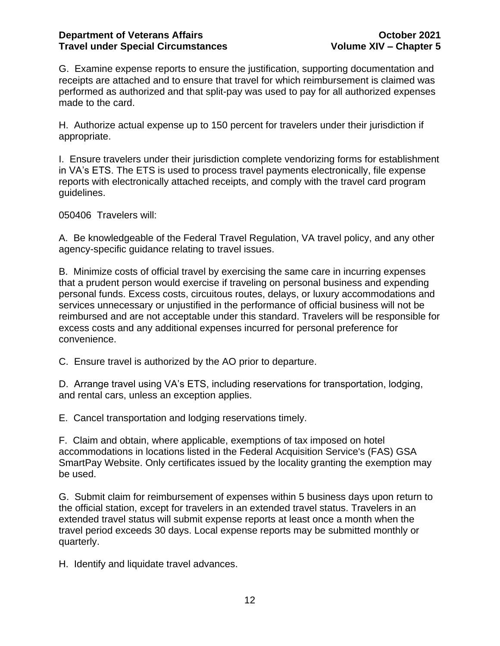G. Examine expense reports to ensure the justification, supporting documentation and receipts are attached and to ensure that travel for which reimbursement is claimed was performed as authorized and that split-pay was used to pay for all authorized expenses made to the card.

H. Authorize actual expense up to 150 percent for travelers under their jurisdiction if appropriate.

I. Ensure travelers under their jurisdiction complete vendorizing forms for establishment in VA's ETS. The ETS is used to process travel payments electronically, file expense reports with electronically attached receipts, and comply with the travel card program guidelines.

050406 Travelers will:

A. Be knowledgeable of the Federal Travel Regulation, VA travel policy, and any other agency-specific guidance relating to travel issues.

B. Minimize costs of official travel by exercising the same care in incurring expenses that a prudent person would exercise if traveling on personal business and expending personal funds. Excess costs, circuitous routes, delays, or luxury accommodations and services unnecessary or unjustified in the performance of official business will not be reimbursed and are not acceptable under this standard. Travelers will be responsible for excess costs and any additional expenses incurred for personal preference for convenience.

C. Ensure travel is authorized by the AO prior to departure.

D. Arrange travel using VA's ETS, including reservations for transportation, lodging, and rental cars, unless an exception applies.

E. Cancel transportation and lodging reservations timely.

F. Claim and obtain, where applicable, exemptions of tax imposed on hotel accommodations in locations listed in the Federal Acquisition Service's (FAS) GSA SmartPay Website. Only certificates issued by the locality granting the exemption may be used.

G. Submit claim for reimbursement of expenses within 5 business days upon return to the official station, except for travelers in an extended travel status. Travelers in an extended travel status will submit expense reports at least once a month when the travel period exceeds 30 days. Local expense reports may be submitted monthly or quarterly.

H. Identify and liquidate travel advances.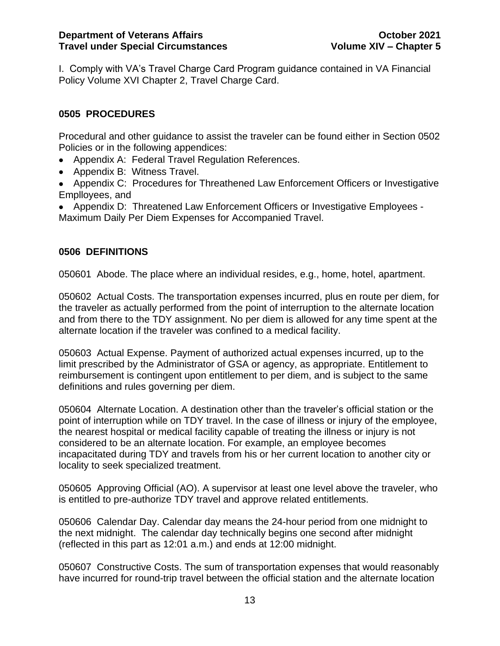I. Comply with VA's Travel Charge Card Program guidance contained in VA Financial Policy Volume XVI Chapter 2, Travel Charge Card.

## <span id="page-13-0"></span>**0505 PROCEDURES**

Procedural and other guidance to assist the traveler can be found either in Section 0502 Policies or in the following appendices:

- Appendix A: Federal Travel Regulation References.
- Appendix B: Witness Travel.
- Appendix C: Procedures for Threathened Law Enforcement Officers or Investigative Emplloyees, and

• Appendix D: Threatened Law Enforcement Officers or Investigative Employees - Maximum Daily Per Diem Expenses for Accompanied Travel.

## <span id="page-13-1"></span>**0506 DEFINITIONS**

050601 Abode. The place where an individual resides, e.g., home, hotel, apartment.

050602 Actual Costs. The transportation expenses incurred, plus en route per diem, for the traveler as actually performed from the point of interruption to the alternate location and from there to the TDY assignment. No per diem is allowed for any time spent at the alternate location if the traveler was confined to a medical facility.

050603 Actual Expense. Payment of authorized actual expenses incurred, up to the limit prescribed by the Administrator of GSA or agency, as appropriate. Entitlement to reimbursement is contingent upon entitlement to per diem, and is subject to the same definitions and rules governing per diem.

050604 Alternate Location. A destination other than the traveler's official station or the point of interruption while on TDY travel. In the case of illness or injury of the employee, the nearest hospital or medical facility capable of treating the illness or injury is not considered to be an alternate location. For example, an employee becomes incapacitated during TDY and travels from his or her current location to another city or locality to seek specialized treatment.

050605 Approving Official (AO). A supervisor at least one level above the traveler, who is entitled to pre-authorize TDY travel and approve related entitlements.

050606 Calendar Day. Calendar day means the 24-hour period from one midnight to the next midnight. The calendar day technically begins one second after midnight (reflected in this part as 12:01 a.m.) and ends at 12:00 midnight.

050607 Constructive Costs. The sum of transportation expenses that would reasonably have incurred for round-trip travel between the official station and the alternate location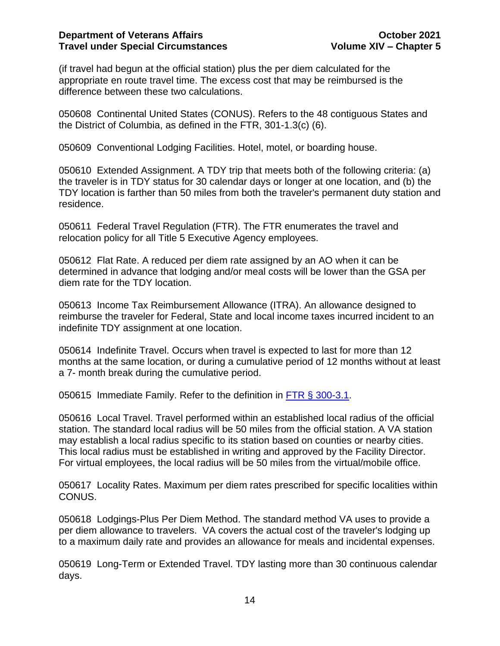(if travel had begun at the official station) plus the per diem calculated for the appropriate en route travel time. The excess cost that may be reimbursed is the difference between these two calculations.

050608 Continental United States (CONUS). Refers to the 48 contiguous States and the District of Columbia, as defined in the FTR, 301-1.3(c) (6).

050609 Conventional Lodging Facilities. Hotel, motel, or boarding house.

050610 Extended Assignment. A TDY trip that meets both of the following criteria: (a) the traveler is in TDY status for 30 calendar days or longer at one location, and (b) the TDY location is farther than 50 miles from both the traveler's permanent duty station and residence.

050611 Federal Travel Regulation (FTR). The FTR enumerates the travel and relocation policy for all Title 5 Executive Agency employees.

050612 Flat Rate. A reduced per diem rate assigned by an AO when it can be determined in advance that lodging and/or meal costs will be lower than the GSA per diem rate for the TDY location.

050613 Income Tax Reimbursement Allowance (ITRA). An allowance designed to reimburse the traveler for Federal, State and local income taxes incurred incident to an indefinite TDY assignment at one location.

050614 Indefinite Travel. Occurs when travel is expected to last for more than 12 months at the same location, or during a cumulative period of 12 months without at least a 7- month break during the cumulative period.

050615 Immediate Family. Refer to the definition in [FTR § 300-3.1.](http://ecfr.gpoaccess.gov/cgi/t/text/text-idx?c=ecfr&sid=3d787b788ad777df8633d6e55f496fd4&rgn=div8&view=text&node=41:4.2.1.1.3.0.1.1&idno=41)

050616 Local Travel. Travel performed within an established local radius of the official station. The standard local radius will be 50 miles from the official station. A VA station may establish a local radius specific to its station based on counties or nearby cities. This local radius must be established in writing and approved by the Facility Director. For virtual employees, the local radius will be 50 miles from the virtual/mobile office.

050617 Locality Rates. Maximum per diem rates prescribed for specific localities within CONUS.

050618 Lodgings-Plus Per Diem Method. The standard method VA uses to provide a per diem allowance to travelers. VA covers the actual cost of the traveler's lodging up to a maximum daily rate and provides an allowance for meals and incidental expenses.

050619 Long-Term or Extended Travel. TDY lasting more than 30 continuous calendar days.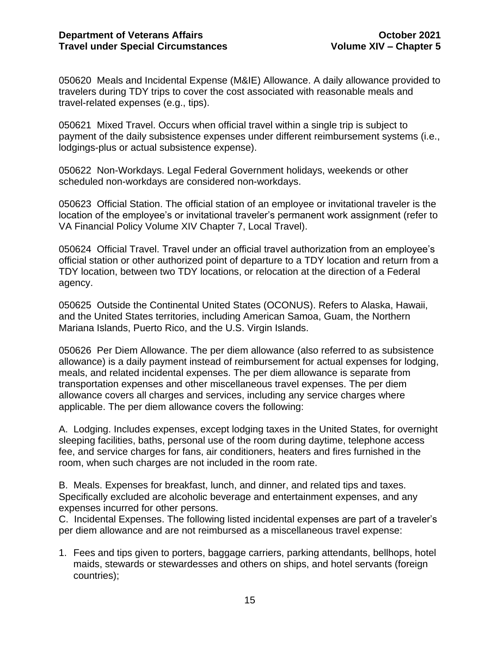050620 Meals and Incidental Expense (M&IE) Allowance. A daily allowance provided to travelers during TDY trips to cover the cost associated with reasonable meals and travel-related expenses (e.g., tips).

050621 Mixed Travel. Occurs when official travel within a single trip is subject to payment of the daily subsistence expenses under different reimbursement systems (i.e., lodgings-plus or actual subsistence expense).

050622 Non-Workdays. Legal Federal Government holidays, weekends or other scheduled non-workdays are considered non-workdays.

050623 Official Station. The official station of an employee or invitational traveler is the location of the employee's or invitational traveler's permanent work assignment (refer to VA Financial Policy Volume XIV Chapter 7, Local Travel).

050624 Official Travel. Travel under an official travel authorization from an employee's official station or other authorized point of departure to a TDY location and return from a TDY location, between two TDY locations, or relocation at the direction of a Federal agency.

050625 Outside the Continental United States (OCONUS). Refers to Alaska, Hawaii, and the United States territories, including American Samoa, Guam, the Northern Mariana Islands, Puerto Rico, and the U.S. Virgin Islands.

050626 Per Diem Allowance. The per diem allowance (also referred to as subsistence allowance) is a daily payment instead of reimbursement for actual expenses for lodging, meals, and related incidental expenses. The per diem allowance is separate from transportation expenses and other miscellaneous travel expenses. The per diem allowance covers all charges and services, including any service charges where applicable. The per diem allowance covers the following:

A. Lodging. Includes expenses, except lodging taxes in the United States, for overnight sleeping facilities, baths, personal use of the room during daytime, telephone access fee, and service charges for fans, air conditioners, heaters and fires furnished in the room, when such charges are not included in the room rate.

B. Meals. Expenses for breakfast, lunch, and dinner, and related tips and taxes. Specifically excluded are alcoholic beverage and entertainment expenses, and any expenses incurred for other persons.

C. Incidental Expenses. The following listed incidental expenses are part of a traveler's per diem allowance and are not reimbursed as a miscellaneous travel expense:

1. Fees and tips given to porters, baggage carriers, parking attendants, bellhops, hotel maids, stewards or stewardesses and others on ships, and hotel servants (foreign countries);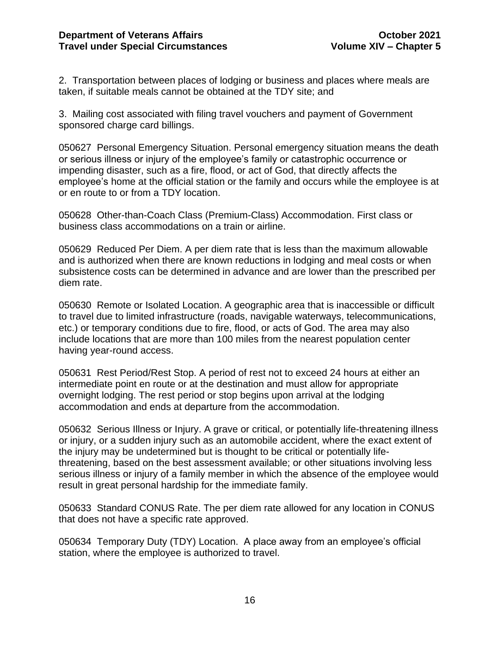2. Transportation between places of lodging or business and places where meals are taken, if suitable meals cannot be obtained at the TDY site; and

3. Mailing cost associated with filing travel vouchers and payment of Government sponsored charge card billings.

050627 Personal Emergency Situation. Personal emergency situation means the death or serious illness or injury of the employee's family or catastrophic occurrence or impending disaster, such as a fire, flood, or act of God, that directly affects the employee's home at the official station or the family and occurs while the employee is at or en route to or from a TDY location.

050628 Other-than-Coach Class (Premium-Class) Accommodation. First class or business class accommodations on a train or airline.

050629 Reduced Per Diem. A per diem rate that is less than the maximum allowable and is authorized when there are known reductions in lodging and meal costs or when subsistence costs can be determined in advance and are lower than the prescribed per diem rate.

050630 Remote or Isolated Location. A geographic area that is inaccessible or difficult to travel due to limited infrastructure (roads, navigable waterways, telecommunications, etc.) or temporary conditions due to fire, flood, or acts of God. The area may also include locations that are more than 100 miles from the nearest population center having year-round access.

050631 Rest Period/Rest Stop. A period of rest not to exceed 24 hours at either an intermediate point en route or at the destination and must allow for appropriate overnight lodging. The rest period or stop begins upon arrival at the lodging accommodation and ends at departure from the accommodation.

050632 Serious Illness or Injury. A grave or critical, or potentially life-threatening illness or injury, or a sudden injury such as an automobile accident, where the exact extent of the injury may be undetermined but is thought to be critical or potentially lifethreatening, based on the best assessment available; or other situations involving less serious illness or injury of a family member in which the absence of the employee would result in great personal hardship for the immediate family.

050633 Standard CONUS Rate. The per diem rate allowed for any location in CONUS that does not have a specific rate approved.

050634 Temporary Duty (TDY) Location. A place away from an employee's official station, where the employee is authorized to travel.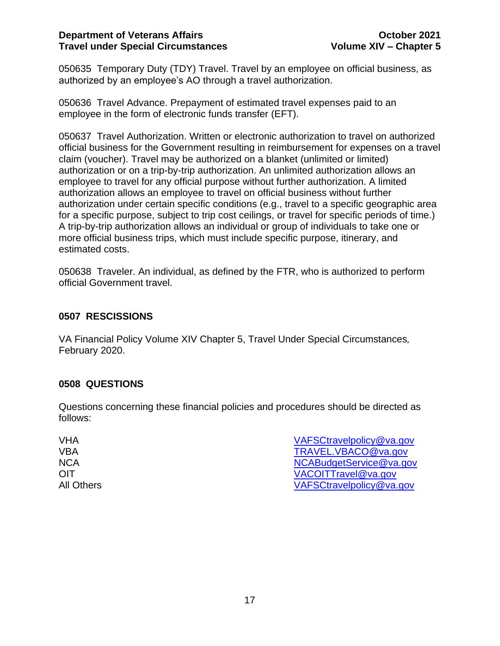### **Department of Veterans Affairs COMBING 2021 Travel under Special Circumstances Volume XIV – Chapter 5**

050635 Temporary Duty (TDY) Travel. Travel by an employee on official business, as authorized by an employee's AO through a travel authorization.

050636 Travel Advance. Prepayment of estimated travel expenses paid to an employee in the form of electronic funds transfer (EFT).

050637 Travel Authorization. Written or electronic authorization to travel on authorized official business for the Government resulting in reimbursement for expenses on a travel claim (voucher). Travel may be authorized on a blanket (unlimited or limited) authorization or on a trip-by-trip authorization. An unlimited authorization allows an employee to travel for any official purpose without further authorization. A limited authorization allows an employee to travel on official business without further authorization under certain specific conditions (e.g., travel to a specific geographic area for a specific purpose, subject to trip cost ceilings, or travel for specific periods of time.) A trip-by-trip authorization allows an individual or group of individuals to take one or more official business trips, which must include specific purpose, itinerary, and estimated costs.

050638 Traveler. An individual, as defined by the FTR, who is authorized to perform official Government travel.

## <span id="page-17-0"></span>**0507 RESCISSIONS**

VA Financial Policy Volume XIV Chapter 5, Travel Under Special Circumstances*,* February 2020.

### <span id="page-17-1"></span>**0508 QUESTIONS**

Questions concerning these financial policies and procedures should be directed as follows:

| VHA        | VAFSCtravelpolicy@va.gov |
|------------|--------------------------|
| VBA        | TRAVEL.VBACO@va.gov      |
| <b>NCA</b> | NCABudgetService@va.gov  |
| OIT        | VACOITTravel@va.gov      |
| All Others | VAFSCtravelpolicy@va.gov |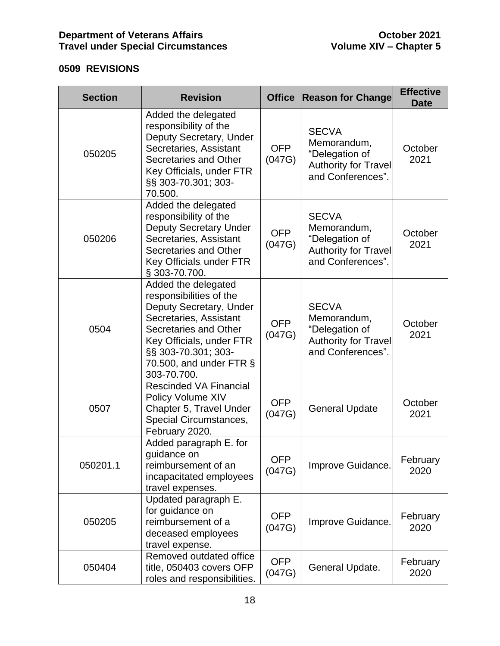## <span id="page-18-0"></span>**0509 REVISIONS**

| <b>Section</b> | <b>Revision</b>                                                                                                                                                                                                              | <b>Office</b>        | <b>Reason for Change</b>                                                                          | <b>Effective</b><br><b>Date</b> |
|----------------|------------------------------------------------------------------------------------------------------------------------------------------------------------------------------------------------------------------------------|----------------------|---------------------------------------------------------------------------------------------------|---------------------------------|
| 050205         | Added the delegated<br>responsibility of the<br>Deputy Secretary, Under<br>Secretaries, Assistant<br>Secretaries and Other<br>Key Officials, under FTR<br>§§ 303-70.301; 303-<br>70.500.                                     | <b>OFP</b><br>(047G) | <b>SECVA</b><br>Memorandum,<br>"Delegation of<br><b>Authority for Travel</b><br>and Conferences". | October<br>2021                 |
| 050206         | Added the delegated<br>responsibility of the<br><b>Deputy Secretary Under</b><br>Secretaries, Assistant<br>Secretaries and Other<br>Key Officials, under FTR<br>§ 303-70.700.                                                | <b>OFP</b><br>(047G) | <b>SECVA</b><br>Memorandum,<br>"Delegation of<br><b>Authority for Travel</b><br>and Conferences". | October<br>2021                 |
| 0504           | Added the delegated<br>responsibilities of the<br>Deputy Secretary, Under<br>Secretaries, Assistant<br>Secretaries and Other<br>Key Officials, under FTR<br>§§ 303-70.301; 303-<br>70.500, and under FTR $\S$<br>303-70.700. | <b>OFP</b><br>(047G) | <b>SECVA</b><br>Memorandum,<br>"Delegation of<br><b>Authority for Travel</b><br>and Conferences". | October<br>2021                 |
| 0507           | <b>Rescinded VA Financial</b><br>Policy Volume XIV<br>Chapter 5, Travel Under<br>Special Circumstances,<br>February 2020.                                                                                                    | <b>OFP</b><br>(047G) | <b>General Update</b>                                                                             | October<br>2021                 |
| 050201.1       | Added paragraph E. for<br>guidance on<br>reimbursement of an<br>incapacitated employees<br>travel expenses.                                                                                                                  | <b>OFP</b><br>(047G) | Improve Guidance.                                                                                 | February<br>2020                |
| 050205         | Updated paragraph E.<br>for guidance on<br>reimbursement of a<br>deceased employees<br>travel expense.                                                                                                                       | <b>OFP</b><br>(047G) | Improve Guidance.                                                                                 | February<br>2020                |
| 050404         | Removed outdated office<br>title, 050403 covers OFP<br>roles and responsibilities.                                                                                                                                           | <b>OFP</b><br>(047G) | General Update.                                                                                   | February<br>2020                |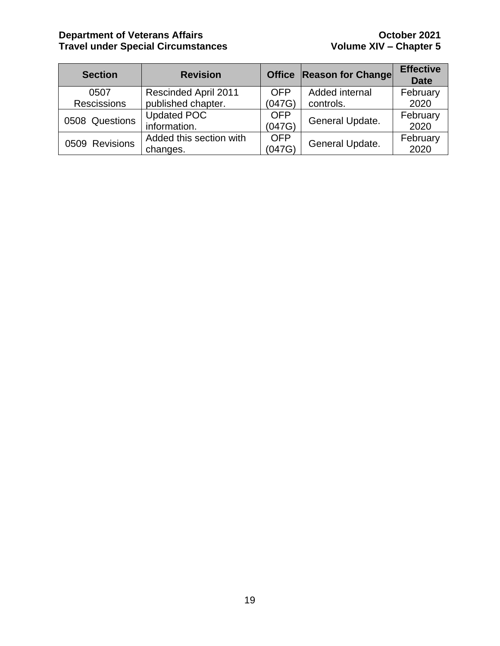### **Department of Veterans Affairs CELL 2021 October 2021 Travel under Special Circumstances Volume XIV – Chapter 5**

| <b>Section</b>     | <b>Revision</b>             |            | Office Reason for Change | <b>Effective</b><br><b>Date</b> |
|--------------------|-----------------------------|------------|--------------------------|---------------------------------|
| 0507               | <b>Rescinded April 2011</b> | <b>OFP</b> | Added internal           | February                        |
| <b>Rescissions</b> | published chapter.          | (047G)     | controls.                | 2020                            |
| 0508 Questions     | <b>Updated POC</b>          | <b>OFP</b> | General Update.          | February                        |
|                    | information.                | (047G)     |                          | 2020                            |
| 0509 Revisions     | Added this section with     | <b>OFP</b> | General Update.          | February                        |
|                    | changes.                    | (047G)     |                          | 2020                            |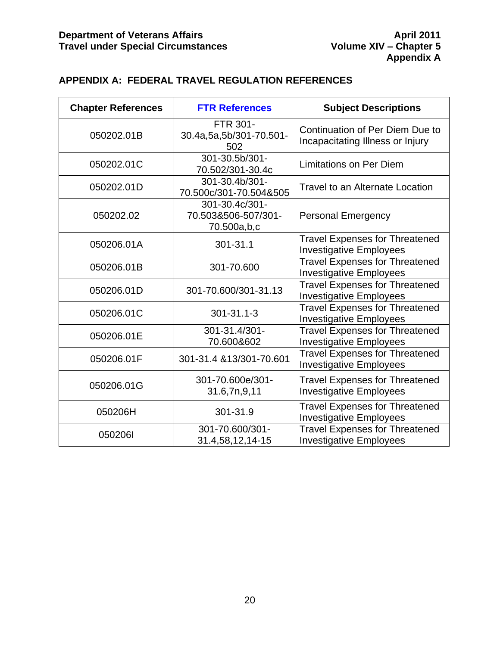## <span id="page-20-0"></span>**APPENDIX A: FEDERAL TRAVEL REGULATION REFERENCES**

| <b>Chapter References</b> | <b>FTR References</b>                                | <b>Subject Descriptions</b>                                             |  |
|---------------------------|------------------------------------------------------|-------------------------------------------------------------------------|--|
| 050202.01B                | FTR 301-<br>30.4a,5a,5b/301-70.501-<br>502           | Continuation of Per Diem Due to<br>Incapacitating Illness or Injury     |  |
| 050202.01C                | 301-30.5b/301-<br>70.502/301-30.4c                   | <b>Limitations on Per Diem</b>                                          |  |
| 050202.01D                | 301-30.4b/301-<br>70.500c/301-70.504&505             | <b>Travel to an Alternate Location</b>                                  |  |
| 050202.02                 | 301-30.4c/301-<br>70.503&506-507/301-<br>70.500a,b,c | <b>Personal Emergency</b>                                               |  |
| 050206.01A                | 301-31.1                                             | <b>Travel Expenses for Threatened</b><br><b>Investigative Employees</b> |  |
| 050206.01B                | 301-70.600                                           | <b>Travel Expenses for Threatened</b><br><b>Investigative Employees</b> |  |
| 050206.01D                | 301-70.600/301-31.13                                 | <b>Travel Expenses for Threatened</b><br><b>Investigative Employees</b> |  |
| 050206.01C                | $301 - 31.1 - 3$                                     | <b>Travel Expenses for Threatened</b><br><b>Investigative Employees</b> |  |
| 050206.01E                | 301-31.4/301-<br>70.600&602                          | <b>Travel Expenses for Threatened</b><br><b>Investigative Employees</b> |  |
| 050206.01F                | 301-31.4 &13/301-70.601                              | <b>Travel Expenses for Threatened</b><br>Investigative Employees        |  |
| 050206.01G                | 301-70.600e/301-<br>31.6,7n,9,11                     | <b>Travel Expenses for Threatened</b><br><b>Investigative Employees</b> |  |
| 050206H                   | 301-31.9                                             | <b>Travel Expenses for Threatened</b><br><b>Investigative Employees</b> |  |
| 0502061                   | 301-70.600/301-<br>31.4,58,12,14-15                  | <b>Travel Expenses for Threatened</b><br><b>Investigative Employees</b> |  |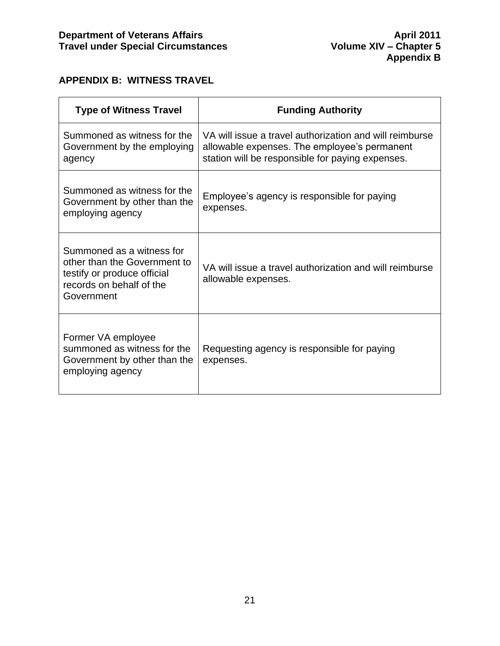## <span id="page-21-0"></span>**APPENDIX B: WITNESS TRAVEL**

| <b>Type of Witness Travel</b>                                                                                                      | <b>Funding Authority</b>                                                                                                                                    |  |
|------------------------------------------------------------------------------------------------------------------------------------|-------------------------------------------------------------------------------------------------------------------------------------------------------------|--|
| Summoned as witness for the<br>Government by the employing<br>agency                                                               | VA will issue a travel authorization and will reimburse<br>allowable expenses. The employee's permanent<br>station will be responsible for paying expenses. |  |
| Summoned as witness for the<br>Government by other than the<br>employing agency                                                    | Employee's agency is responsible for paying<br>expenses.                                                                                                    |  |
| Summoned as a witness for<br>other than the Government to<br>testify or produce official<br>records on behalf of the<br>Government | VA will issue a travel authorization and will reimburse<br>allowable expenses.                                                                              |  |
| Former VA employee<br>summoned as witness for the<br>Government by other than the<br>employing agency                              | Requesting agency is responsible for paying<br>expenses.                                                                                                    |  |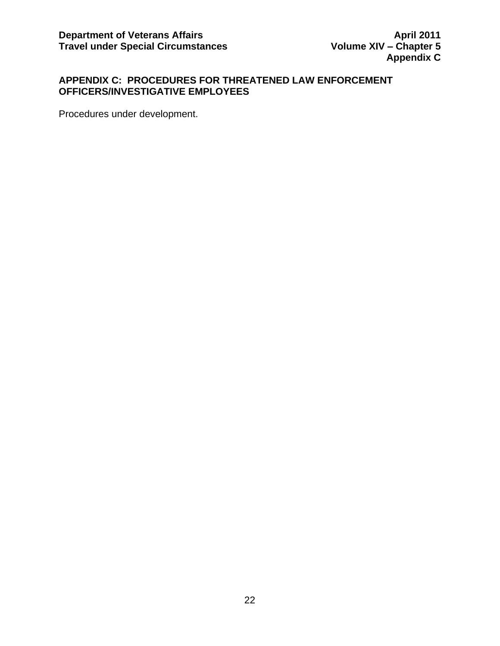## <span id="page-22-0"></span>**APPENDIX C: PROCEDURES FOR THREATENED LAW ENFORCEMENT OFFICERS/INVESTIGATIVE EMPLOYEES**

Procedures under development.